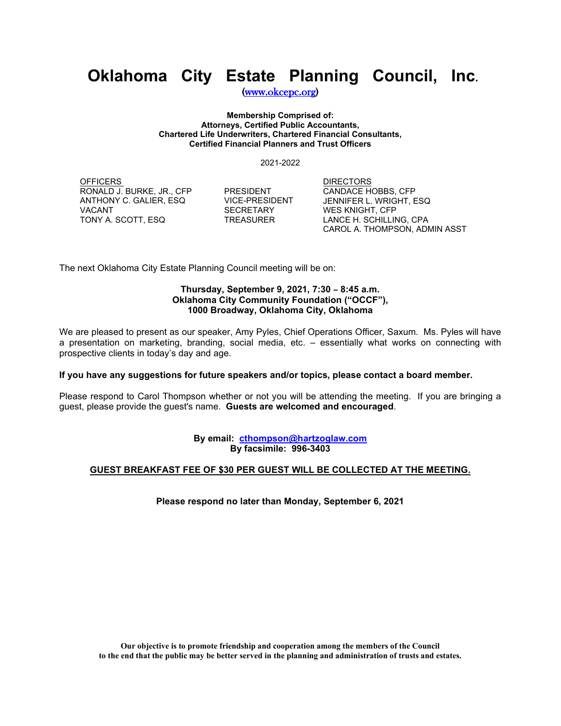# **Oklahoma City Estate Planning Council, Inc.**

[\(www.okcepc.org\)](http://www.okcepc.org/)

**Membership Comprised of: Attorneys, Certified Public Accountants, Chartered Life Underwriters, Chartered Financial Consultants, Certified Financial Planners and Trust Officers**

2021-2022

**OFFICERS** RONALD J. BURKE, JR., CFP PRESIDENT ANTHONY C. GALIER, ESQ<br>VACANT TONY A. SCOTT, ESQ TREASURER

SECRETARY

DIRECTORS CANDACE HOBBS, CFP JENNIFER L. WRIGHT, ESQ WES KNIGHT, CFP LANCE H. SCHILLING, CPA CAROL A. THOMPSON, ADMIN ASST

The next Oklahoma City Estate Planning Council meeting will be on:

#### **Thursday, September 9, 2021, 7:30 - 8:45 a.m. Oklahoma City Community Foundation ("OCCF"), 1000 Broadway, Oklahoma City, Oklahoma**

We are pleased to present as our speaker, Amy Pyles, Chief Operations Officer, Saxum. Ms. Pyles will have a presentation on marketing, branding, social media, etc. – essentially what works on connecting with prospective clients in today's day and age.

### **If you have any suggestions for future speakers and/or topics, please contact a board member.**

Please respond to Carol Thompson whether or not you will be attending the meeting. If you are bringing a guest, please provide the guest's name. **Guests are welcomed and encouraged**.

> **By email: cthompson@hartzoglaw.com By facsimile: 996-3403**

### **GUEST BREAKFAST FEE OF \$30 PER GUEST WILL BE COLLECTED AT THE MEETING.**

**Please respond no later than Monday, September 6, 2021**